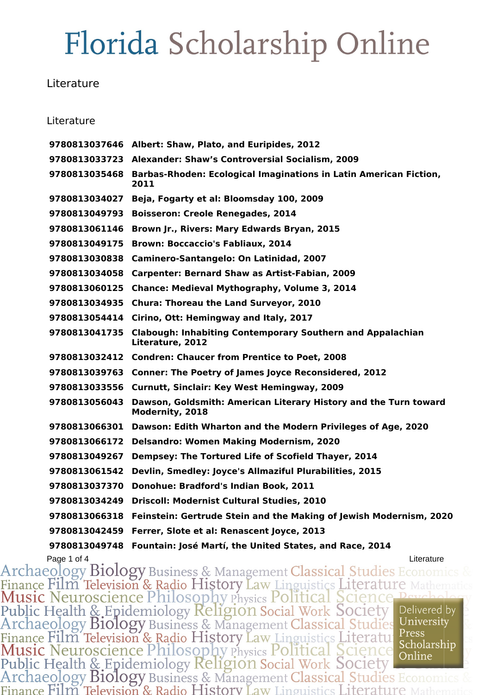#### **Literature**

#### Literature

|               | 9780813037646 Albert: Shaw, Plato, and Euripides, 2012                                |
|---------------|---------------------------------------------------------------------------------------|
|               | 9780813033723 Alexander: Shaw's Controversial Socialism, 2009                         |
| 9780813035468 | Barbas-Rhoden: Ecological Imaginations in Latin American Fiction,<br>2011             |
| 9780813034027 | Beja, Fogarty et al: Bloomsday 100, 2009                                              |
| 9780813049793 | <b>Boisseron: Creole Renegades, 2014</b>                                              |
| 9780813061146 | Brown Jr., Rivers: Mary Edwards Bryan, 2015                                           |
| 9780813049175 | <b>Brown: Boccaccio's Fabliaux, 2014</b>                                              |
| 9780813030838 | <b>Caminero-Santangelo: On Latinidad, 2007</b>                                        |
| 9780813034058 | <b>Carpenter: Bernard Shaw as Artist-Fabian, 2009</b>                                 |
| 9780813060125 | Chance: Medieval Mythography, Volume 3, 2014                                          |
| 9780813034935 | <b>Chura: Thoreau the Land Surveyor, 2010</b>                                         |
| 9780813054414 | Cirino, Ott: Hemingway and Italy, 2017                                                |
| 9780813041735 | <b>Clabough: Inhabiting Contemporary Southern and Appalachian</b><br>Literature, 2012 |
|               | 9780813032412 Condren: Chaucer from Prentice to Poet, 2008                            |
| 9780813039763 | <b>Conner: The Poetry of James Joyce Reconsidered, 2012</b>                           |
|               | 9780813033556 Curnutt, Sinclair: Key West Hemingway, 2009                             |
| 9780813056043 | Dawson, Goldsmith: American Literary History and the Turn toward<br>Modernity, 2018   |
|               | 9780813066301 Dawson: Edith Wharton and the Modern Privileges of Age, 2020            |
| 9780813066172 | <b>Delsandro: Women Making Modernism, 2020</b>                                        |
| 9780813049267 | Dempsey: The Tortured Life of Scofield Thayer, 2014                                   |
| 9780813061542 | Devlin, Smedley: Joyce's Allmaziful Plurabilities, 2015                               |
| 9780813037370 | Donohue: Bradford's Indian Book, 2011                                                 |
| 9780813034249 | <b>Driscoll: Modernist Cultural Studies, 2010</b>                                     |
| 9780813066318 | Feinstein: Gertrude Stein and the Making of Jewish Modernism, 2020                    |
| 9780813042459 | Ferrer, Slote et al: Renascent Joyce, 2013                                            |
| 9780813049748 | Fountain: José Martí, the United States, and Race, 2014                               |

Page 1 of 4<br>Archaeology Biology Business & Management Classical Studies Economics Finance Film Television & Radio History Law Linguistics Literature Mathem<br>Music Neuroscience Philosophy Physics Political Science Peychol<br>Public Health & Epidemiology Religion Social Work Society Delivered b<br>Archaeology Bi Delivered by Finance Film Television & Radio History Law Linguistics Literatu Press<br>Music Neuroscience Philosophy Physics Political Science Scholarship<br>Public Health & Epidemiology Religion Social Work Society<br>Archaeology Biology Busin Scholarship Finance Film Television & Radio History Law Linguistics Literature 1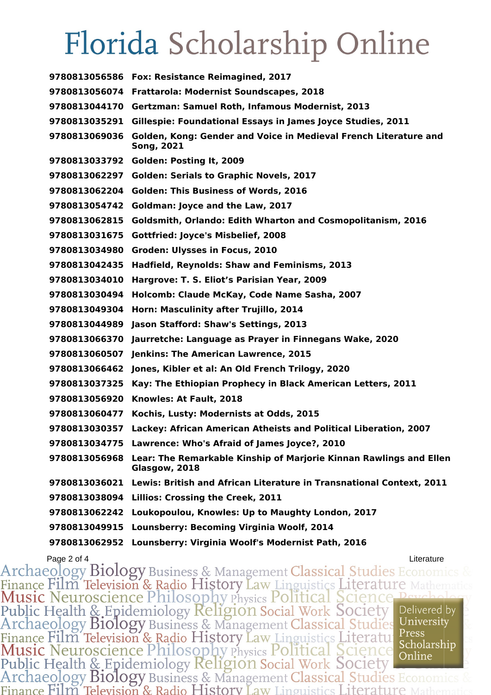|               | 9780813056586 Fox: Resistance Reimagined, 2017                                        |
|---------------|---------------------------------------------------------------------------------------|
|               | 9780813056074 Frattarola: Modernist Soundscapes, 2018                                 |
|               | 9780813044170 Gertzman: Samuel Roth, Infamous Modernist, 2013                         |
| 9780813035291 | Gillespie: Foundational Essays in James Joyce Studies, 2011                           |
| 9780813069036 | Golden, Kong: Gender and Voice in Medieval French Literature and<br><b>Song, 2021</b> |
|               | 9780813033792 Golden: Posting It, 2009                                                |
| 9780813062297 | <b>Golden: Serials to Graphic Novels, 2017</b>                                        |
| 9780813062204 | <b>Golden: This Business of Words, 2016</b>                                           |
| 9780813054742 | Goldman: Joyce and the Law, 2017                                                      |
| 9780813062815 | Goldsmith, Orlando: Edith Wharton and Cosmopolitanism, 2016                           |
| 9780813031675 | <b>Gottfried: Joyce's Misbelief, 2008</b>                                             |
| 9780813034980 | Groden: Ulysses in Focus, 2010                                                        |
| 9780813042435 | Hadfield, Reynolds: Shaw and Feminisms, 2013                                          |
| 9780813034010 | Hargrove: T. S. Eliot's Parisian Year, 2009                                           |
| 9780813030494 | Holcomb: Claude McKay, Code Name Sasha, 2007                                          |
| 9780813049304 | Horn: Masculinity after Trujillo, 2014                                                |
| 9780813044989 | Jason Stafford: Shaw's Settings, 2013                                                 |
| 9780813066370 | Jaurretche: Language as Prayer in Finnegans Wake, 2020                                |
| 9780813060507 | Jenkins: The American Lawrence, 2015                                                  |
| 9780813066462 | Jones, Kibler et al: An Old French Trilogy, 2020                                      |
| 9780813037325 | Kay: The Ethiopian Prophecy in Black American Letters, 2011                           |
| 9780813056920 | Knowles: At Fault, 2018                                                               |
| 9780813060477 | Kochis, Lusty: Modernists at Odds, 2015                                               |
| 9780813030357 | Lackey: African American Atheists and Political Liberation, 2007                      |
|               | 9780813034775 Lawrence: Who's Afraid of James Joyce?, 2010                            |
| 9780813056968 | Lear: The Remarkable Kinship of Marjorie Kinnan Rawlings and Ellen<br>Glasgow, 2018   |
| 9780813036021 | Lewis: British and African Literature in Transnational Context, 2011                  |
| 9780813038094 | <b>Lillios: Crossing the Creek, 2011</b>                                              |
| 9780813062242 | Loukopoulou, Knowles: Up to Maughty London, 2017                                      |
| 9780813049915 | Lounsberry: Becoming Virginia Woolf, 2014                                             |
| 9780813062952 | Lounsberry: Virginia Woolf's Modernist Path, 2016                                     |

Page 2 of 4<br>Archaeology Biology Business & Management Classical Studies Economics & Finance Film Television & Radio History Law Linguistics Literature Mathe Public Health & Epidemiology Religion Social Work Society<br>Archaeology Biology Business & Management Classical Studies Delivered by University Finance Film Television & Radio History Law Linguistics Literatu<br>Music Neuroscience Philosophy Physics Political Science Scholarship<br>Public Health & Epidemiology Religion Social Work Society<br>Archaeology Biology Business & Press Scholarship Finance Film Television & Radio History Law Linguistics Literature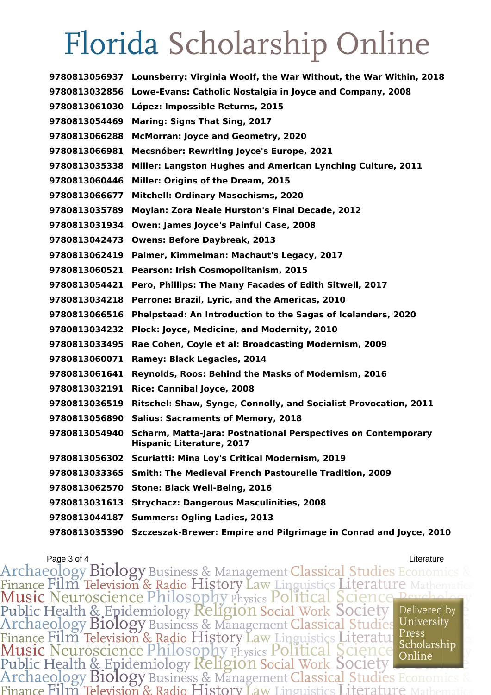**Lounsberry: Virginia Woolf, the War Without, the War Within, 2018 Lowe-Evans: Catholic Nostalgia in Joyce and Company, 2008 López: Impossible Returns, 2015 Maring: Signs That Sing, 2017 McMorran: Joyce and Geometry, 2020 Mecsnóber: Rewriting Joyce's Europe, 2021 Miller: Langston Hughes and American Lynching Culture, 2011 Miller: Origins of the Dream, 2015 Mitchell: Ordinary Masochisms, 2020 Moylan: Zora Neale Hurston's Final Decade, 2012 Owen: James Joyce's Painful Case, 2008 Owens: Before Daybreak, 2013 Palmer, Kimmelman: Machaut's Legacy, 2017 Pearson: Irish Cosmopolitanism, 2015 Pero, Phillips: The Many Facades of Edith Sitwell, 2017 Perrone: Brazil, Lyric, and the Americas, 2010 Phelpstead: An Introduction to the Sagas of Icelanders, 2020 Plock: Joyce, Medicine, and Modernity, 2010 Rae Cohen, Coyle et al: Broadcasting Modernism, 2009 Ramey: Black Legacies, 2014 Reynolds, Roos: Behind the Masks of Modernism, 2016 Rice: Cannibal Joyce, 2008 Ritschel: Shaw, Synge, Connolly, and Socialist Provocation, 2011 Salius: Sacraments of Memory, 2018 Scharm, Matta-Jara: Postnational Perspectives on Contemporary Hispanic Literature, 2017 Scuriatti: Mina Loy's Critical Modernism, 2019 Smith: The Medieval French Pastourelle Tradition, 2009 Stone: Black Well-Being, 2016 Strychacz: Dangerous Masculinities, 2008 Summers: Ogling Ladies, 2013 Szczeszak-Brewer: Empire and Pilgrimage in Conrad and Joyce, 2010**

Page 3 of 4<br>Archaeology Biology Business & Management Classical Studies Economi Finance Film Television & Radio History Law Linguistics Literature N<br>Music Neuroscience Philosophy Physics Political Science Pe Public Health & Epidemiology Religion Social Work Society Delivered by University Archaeology Biology Business & Management Classical Studies Finance Film Television & Radio History Law Linguistics Literatu:<br>Music Neuroscience Philosophy Physics Political Science Press Scholarship Online Public Health & Epidemiology Religion Social Work Society Archaeology Biology Business & Management Classical Studies Economics Finance Film Television & Radio History Law Linguistics Literature